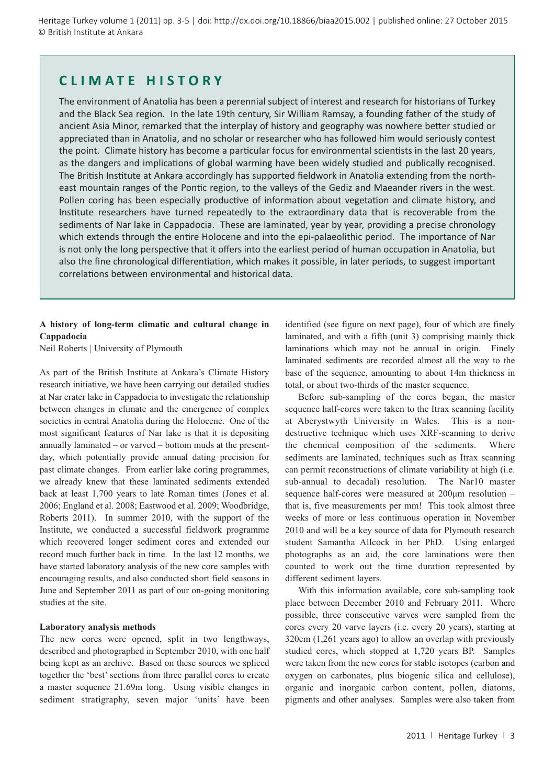Heritage Turkey volume 1 (2011) pp. 3-5 | doi: http://dx.doi.org/10.18866/biaa2015.002 | published online: 27 October 2015 © British Institute at Ankara

# **CLIMATE HISTORY**

The environment of Anatolia has been a perennial subject of interest and research for historians of Turkey and the Black Sea region. In the late 19th century, Sir William Ramsay, a founding father of the study of ancient Asia Minor, remarked that the interplay of history and geography was nowhere better studied or appreciated than in Anatolia, and no scholar or researcher who has followed him would seriously contest the point. Climate history has become a particular focus for environmental scientists in the last 20 years, as the dangers and implications of global warming have been widely studied and publically recognised. The British Institute at Ankara accordingly has supported fieldwork in Anatolia extending from the northeast mountain ranges of the Pontic region, to the valleys of the Gediz and Maeander rivers in the west. Pollen coring has been especially productive of information about vegetation and climate history, and Institute researchers have turned repeatedly to the extraordinary data that is recoverable from the sediments of Nar lake in Cappadocia. These are laminated, year by year, providing a precise chronology which extends through the entire Holocene and into the epi-palaeolithic period. The importance of Nar is not only the long perspective that it offers into the earliest period of human occupation in Anatolia, but also the fine chronological differentiation, which makes it possible, in later periods, to suggest important correlations between environmental and historical data.

# **A history of long-term climatic and cultural change in Cappadocia**

Neil Roberts | University of Plymouth

As part of the British Institute at Ankara's Climate History research initiative, we have been carrying out detailed studies at Nar crater lake in Cappadocia to investigate the relationship between changes in climate and the emergence of complex societies in central Anatolia during the Holocene. One of the most significant features of Nar lake is that it is depositing annually laminated – or varved – bottom muds at the presentday, which potentially provide annual dating precision for past climate changes. From earlier lake coring programmes, we already knew that these laminated sediments extended back at least 1,700 years to late Roman times (Jones et al. 2006; England et al. 2008; Eastwood et al. 2009; Woodbridge, Roberts 2011). In summer 2010, with the support of the Institute, we conducted a successful fieldwork programme which recovered longer sediment cores and extended our record much further back in time. In the last 12 months, we have started laboratory analysis of the new core samples with encouraging results, and also conducted short field seasons in June and September 2011 as part of our on-going monitoring studies at the site.

#### **Laboratory analysis methods**

The new cores were opened, split in two lengthways, described and photographed in September 2010, with one half being kept as an archive. Based on these sources we spliced together the 'best' sections from three parallel cores to create a master sequence 21.69m long. Using visible changes in sediment stratigraphy, seven major 'units' have been

identified (see figure on next page), four of which are finely laminated, and with a fifth (unit 3) comprising mainly thick laminations which may not be annual in origin. Finely laminated sediments are recorded almost all the way to the base of the sequence, amounting to about 14m thickness in total, or about two-thirds of the master sequence.

Before sub-sampling of the cores began, the master sequence half-cores were taken to the Itrax scanning facility at Aberystwyth University in Wales. This is a nondestructive technique which uses XRF-scanning to derive the chemical composition of the sediments. Where sediments are laminated, techniques such as Itrax scanning can permit reconstructions of climate variability at high (i.e. sub-annual to decadal) resolution. The Nar10 master sequence half-cores were measured at 200μm resolution – that is, five measurements per mm! This took almost three weeks of more or less continuous operation in November 2010 and will be a key source of data for Plymouth research student Samantha Allcock in her PhD. Using enlarged photographs as an aid, the core laminations were then counted to work out the time duration represented by different sediment layers.

With this information available, core sub-sampling took place between December 2010 and February 2011. Where possible, three consecutive varves were sampled from the cores every 20 varve layers (i.e. every 20 years), starting at 320cm (1,261 years ago) to allow an overlap with previously studied cores, which stopped at 1,720 years BP. Samples were taken from the new cores for stable isotopes (carbon and oxygen on carbonates, plus biogenic silica and cellulose), organic and inorganic carbon content, pollen, diatoms, pigments and other analyses. Samples were also taken from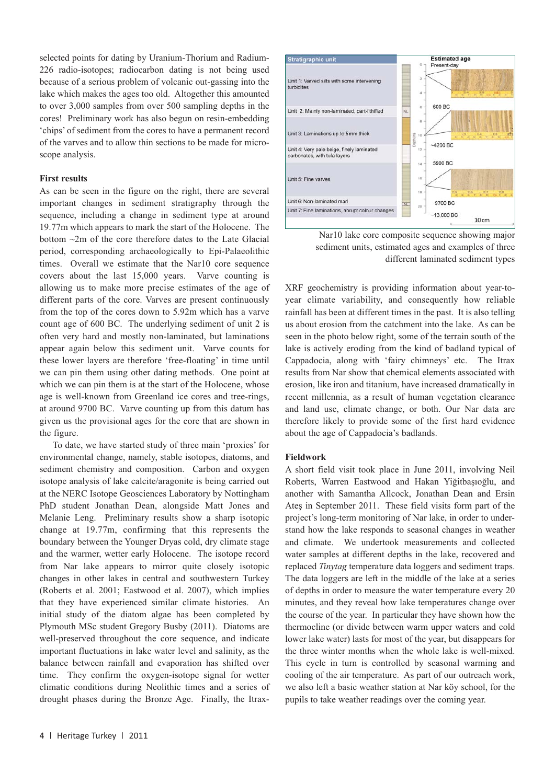selected points for dating by Uranium-Thorium and Radium-226 radio-isotopes; radiocarbon dating is not being used because of a serious problem of volcanic out-gassing into the lake which makes the ages too old. Altogether this amounted to over 3,000 samples from over 500 sampling depths in the cores! Preliminary work has also begun on resin-embedding 'chips' of sediment from the cores to have a permanent record of the varves and to allow thin sections to be made for microscope analysis.

# **First results**

As can be seen in the figure on the right, there are several important changes in sediment stratigraphy through the sequence, including a change in sediment type at around 19.77m which appears to mark the start of the Holocene. The bottom ~2m of the core therefore dates to the Late Glacial period, corresponding archaeologically to Epi-Palaeolithic times. Overall we estimate that the Nar10 core sequence covers about the last 15,000 years. Varve counting is allowing us to make more precise estimates of the age of different parts of the core. Varves are present continuously from the top of the cores down to 5.92m which has a varve count age of 600 BC. The underlying sediment of unit 2 is often very hard and mostly non-laminated, but laminations appear again below this sediment unit. Varve counts for these lower layers are therefore 'free-floating' in time until we can pin them using other dating methods. One point at which we can pin them is at the start of the Holocene, whose age is well-known from Greenland ice cores and tree-rings, at around 9700 BC. Varve counting up from this datum has given us the provisional ages for the core that are shown in the figure.

To date, we have started study of three main 'proxies' for environmental change, namely, stable isotopes, diatoms, and sediment chemistry and composition. Carbon and oxygen isotope analysis of lake calcite/aragonite is being carried out at the NERC Isotope Geosciences Laboratory by Nottingham PhD student Jonathan Dean, alongside Matt Jones and Melanie Leng. Preliminary results show a sharp isotopic change at 19.77m, confirming that this represents the boundary between the Younger Dryas cold, dry climate stage and the warmer, wetter early Holocene. The isotope record from Nar lake appears to mirror quite closely isotopic changes in other lakes in central and southwestern Turkey (Roberts et al. 2001; Eastwood et al. 2007), which implies that they have experienced similar climate histories. An initial study of the diatom algae has been completed by Plymouth MSc student Gregory Busby (2011). Diatoms are well-preserved throughout the core sequence, and indicate important fluctuations in lake water level and salinity, as the balance between rainfall and evaporation has shifted over time. They confirm the oxygen-isotope signal for wetter climatic conditions during Neolithic times and a series of drought phases during the Bronze Age. Finally, the Itrax-



Nar10 lake core composite sequence showing major sediment units, estimated ages and examples of three different laminated sediment types

XRF geochemistry is providing information about year-toyear climate variability, and consequently how reliable rainfall has been at different times in the past. It is also telling us about erosion from the catchment into the lake. As can be seen in the photo below right, some of the terrain south of the lake is actively eroding from the kind of badland typical of Cappadocia, along with 'fairy chimneys' etc. The Itrax results from Nar show that chemical elements associated with erosion, like iron and titanium, have increased dramatically in recent millennia, as a result of human vegetation clearance and land use, climate change, or both. Our Nar data are therefore likely to provide some of the first hard evidence about the age of Cappadocia's badlands.

#### **Fieldwork**

A short field visit took place in June 2011, involving Neil Roberts, Warren Eastwood and Hakan Yiğitbaşıoğlu, and another with Samantha Allcock, Jonathan Dean and Ersin Ateş in September 2011. These field visits form part of the project's long-term monitoring of Nar lake, in order to understand how the lake responds to seasonal changes in weather and climate. We undertook measurements and collected water samples at different depths in the lake, recovered and replaced *Tinytag* temperature data loggers and sediment traps. The data loggers are left in the middle of the lake at a series of depths in order to measure the water temperature every 20 minutes, and they reveal how lake temperatures change over the course of the year. In particular they have shown how the thermocline (or divide between warm upper waters and cold lower lake water) lasts for most of the year, but disappears for the three winter months when the whole lake is well-mixed. This cycle in turn is controlled by seasonal warming and cooling of the air temperature. As part of our outreach work, we also left a basic weather station at Nar köy school, for the pupils to take weather readings over the coming year.